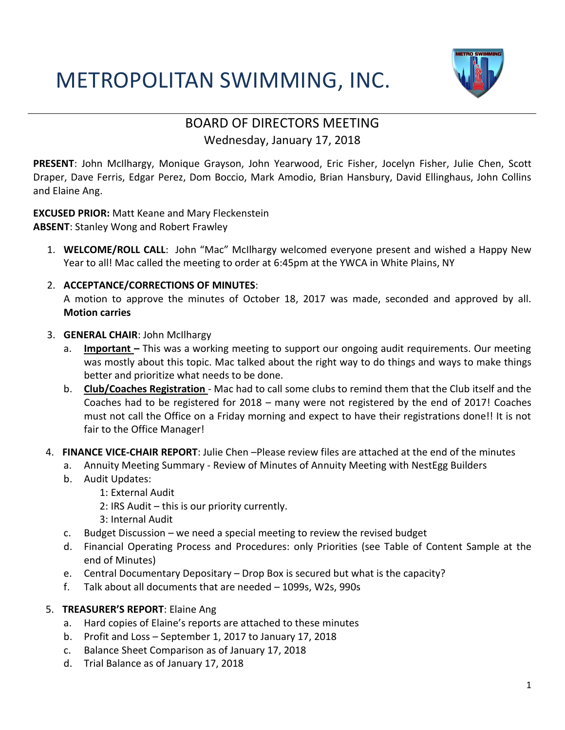### METROPOLITAN SWIMMING, INC.



#### BOARD OF DIRECTORS MEETING Wednesday, January 17, 2018

**PRESENT**: John McIlhargy, Monique Grayson, John Yearwood, Eric Fisher, Jocelyn Fisher, Julie Chen, Scott Draper, Dave Ferris, Edgar Perez, Dom Boccio, Mark Amodio, Brian Hansbury, David Ellinghaus, John Collins and Elaine Ang.

**EXCUSED PRIOR:** Matt Keane and Mary Fleckenstein **ABSENT**: Stanley Wong and Robert Frawley

1. **WELCOME/ROLL CALL**: John "Mac" McIlhargy welcomed everyone present and wished a Happy New Year to all! Mac called the meeting to order at 6:45pm at the YWCA in White Plains, NY

#### 2. **ACCEPTANCE/CORRECTIONS OF MINUTES**:

A motion to approve the minutes of October 18, 2017 was made, seconded and approved by all. **Motion carries**

#### 3. **GENERAL CHAIR**: John McIlhargy

- a. **Important –** This was a working meeting to support our ongoing audit requirements. Our meeting was mostly about this topic. Mac talked about the right way to do things and ways to make things better and prioritize what needs to be done.
- b. **Club/Coaches Registration**  Mac had to call some clubs to remind them that the Club itself and the Coaches had to be registered for 2018 – many were not registered by the end of 2017! Coaches must not call the Office on a Friday morning and expect to have their registrations done!! It is not fair to the Office Manager!
- 4. **FINANCE VICE-CHAIR REPORT**: Julie Chen –Please review files are attached at the end of the minutes
	- a. Annuity Meeting Summary Review of Minutes of Annuity Meeting with NestEgg Builders
	- b. Audit Updates:
		- 1: External Audit
		- 2: IRS Audit this is our priority currently.
		- 3: Internal Audit
	- c. Budget Discussion we need a special meeting to review the revised budget
	- d. Financial Operating Process and Procedures: only Priorities (see Table of Content Sample at the end of Minutes)
	- e. Central Documentary Depositary Drop Box is secured but what is the capacity?
	- f. Talk about all documents that are needed 1099s, W2s, 990s
- 5. **TREASURER'S REPORT**: Elaine Ang
	- a. Hard copies of Elaine's reports are attached to these minutes
	- b. Profit and Loss September 1, 2017 to January 17, 2018
	- c. Balance Sheet Comparison as of January 17, 2018
	- d. Trial Balance as of January 17, 2018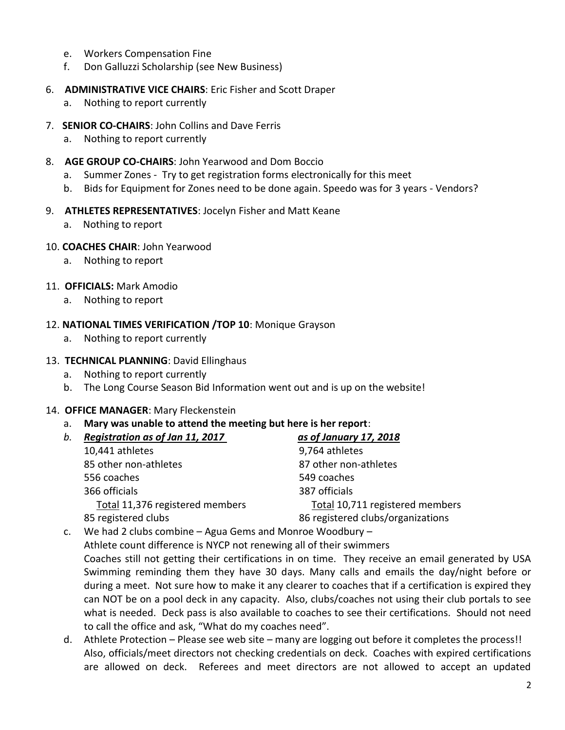- e. Workers Compensation Fine
- f. Don Galluzzi Scholarship (see New Business)
- 6. **ADMINISTRATIVE VICE CHAIRS**: Eric Fisher and Scott Draper
	- a. Nothing to report currently
- 7. **SENIOR CO-CHAIRS**: John Collins and Dave Ferris
	- a. Nothing to report currently
- 8. **AGE GROUP CO-CHAIRS**: John Yearwood and Dom Boccio
	- a. Summer Zones Try to get registration forms electronically for this meet
	- b. Bids for Equipment for Zones need to be done again. Speedo was for 3 years Vendors?
- 9. **ATHLETES REPRESENTATIVES**: Jocelyn Fisher and Matt Keane
	- a. Nothing to report
- 10. **COACHES CHAIR**: John Yearwood
	- a. Nothing to report
- 11. **OFFICIALS:** Mark Amodio
	- a. Nothing to report

#### 12. **NATIONAL TIMES VERIFICATION /TOP 10**: Monique Grayson

- a. Nothing to report currently
- 13. **TECHNICAL PLANNING**: David Ellinghaus
	- a. Nothing to report currently
	- b. The Long Course Season Bid Information went out and is up on the website!

#### 14. **OFFICE MANAGER**: Mary Fleckenstein

a. **Mary was unable to attend the meeting but here is her report**:

| b. | Registration as of Jan 11, 2017                                                                                                        | as of January 17, 2018            |
|----|----------------------------------------------------------------------------------------------------------------------------------------|-----------------------------------|
|    | 10,441 athletes                                                                                                                        | 9,764 athletes                    |
|    | 85 other non-athletes                                                                                                                  | 87 other non-athletes             |
|    | 556 coaches                                                                                                                            | 549 coaches                       |
|    | 366 officials                                                                                                                          | 387 officials                     |
|    | Total 11,376 registered members                                                                                                        | Total 10,711 registered members   |
|    | 85 registered clubs                                                                                                                    | 86 registered clubs/organizations |
|    | $\mathcal{L} = \{M_1, L_2, L_3, L_4, L_5, \ldots, L_t\}$ , where $\mathcal{L} = \{L_1, L_2, \ldots, L_t\}$ is a set of $M_1, L_2, L_3$ |                                   |

c. We had 2 clubs combine – Agua Gems and Monroe Woodbury – Athlete count difference is NYCP not renewing all of their swimmers Coaches still not getting their certifications in on time. They receive an email generated by USA Swimming reminding them they have 30 days. Many calls and emails the day/night before or during a meet. Not sure how to make it any clearer to coaches that if a certification is expired they can NOT be on a pool deck in any capacity. Also, clubs/coaches not using their club portals to see what is needed. Deck pass is also available to coaches to see their certifications. Should not need to call the office and ask, "What do my coaches need".

d. Athlete Protection – Please see web site – many are logging out before it completes the process!! Also, officials/meet directors not checking credentials on deck. Coaches with expired certifications are allowed on deck. Referees and meet directors are not allowed to accept an updated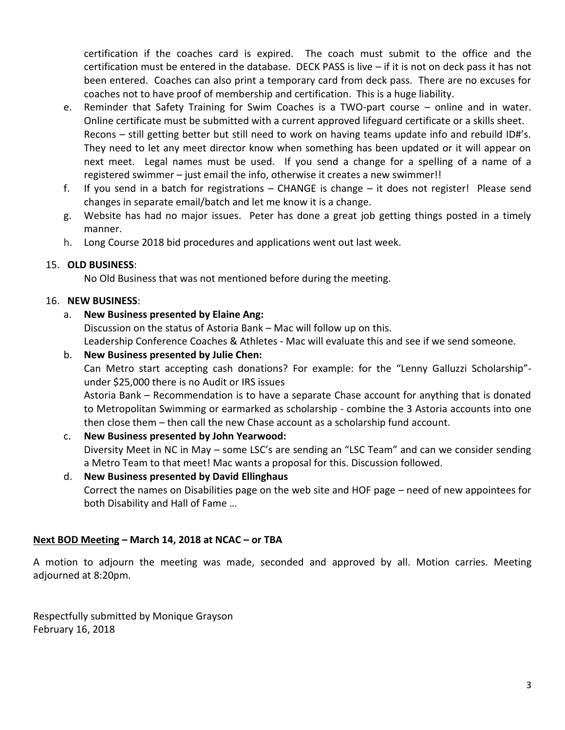certification if the coaches card is expired. The coach must submit to the office and the certification must be entered in the database. DECK PASS is live – if it is not on deck pass it has not been entered. Coaches can also print a temporary card from deck pass. There are no excuses for coaches not to have proof of membership and certification. This is a huge liability.

- e. Reminder that Safety Training for Swim Coaches is a TWO-part course online and in water. Online certificate must be submitted with a current approved lifeguard certificate or a skills sheet. Recons – still getting better but still need to work on having teams update info and rebuild ID#'s. They need to let any meet director know when something has been updated or it will appear on next meet. Legal names must be used. If you send a change for a spelling of a name of a registered swimmer – just email the info, otherwise it creates a new swimmer!!
- f. If you send in a batch for registrations CHANGE is change it does not register! Please send changes in separate email/batch and let me know it is a change.
- g. Website has had no major issues. Peter has done a great job getting things posted in a timely manner.
- h. Long Course 2018 bid procedures and applications went out last week.

#### 15. **OLD BUSINESS**:

No Old Business that was not mentioned before during the meeting.

#### 16. **NEW BUSINESS**:

#### a. **New Business presented by Elaine Ang:**

Discussion on the status of Astoria Bank – Mac will follow up on this. Leadership Conference Coaches & Athletes - Mac will evaluate this and see if we send someone.

#### b. **New Business presented by Julie Chen:**

Can Metro start accepting cash donations? For example: for the "Lenny Galluzzi Scholarship" under \$25,000 there is no Audit or IRS issues

Astoria Bank – Recommendation is to have a separate Chase account for anything that is donated to Metropolitan Swimming or earmarked as scholarship - combine the 3 Astoria accounts into one then close them – then call the new Chase account as a scholarship fund account.

#### c. **New Business presented by John Yearwood:**

Diversity Meet in NC in May – some LSC's are sending an "LSC Team" and can we consider sending a Metro Team to that meet! Mac wants a proposal for this. Discussion followed.

#### d. **New Business presented by David Ellinghaus**

Correct the names on Disabilities page on the web site and HOF page – need of new appointees for both Disability and Hall of Fame …

#### **Next BOD Meeting – March 14, 2018 at NCAC – or TBA**

A motion to adjourn the meeting was made, seconded and approved by all. Motion carries. Meeting adjourned at 8:20pm.

Respectfully submitted by Monique Grayson February 16, 2018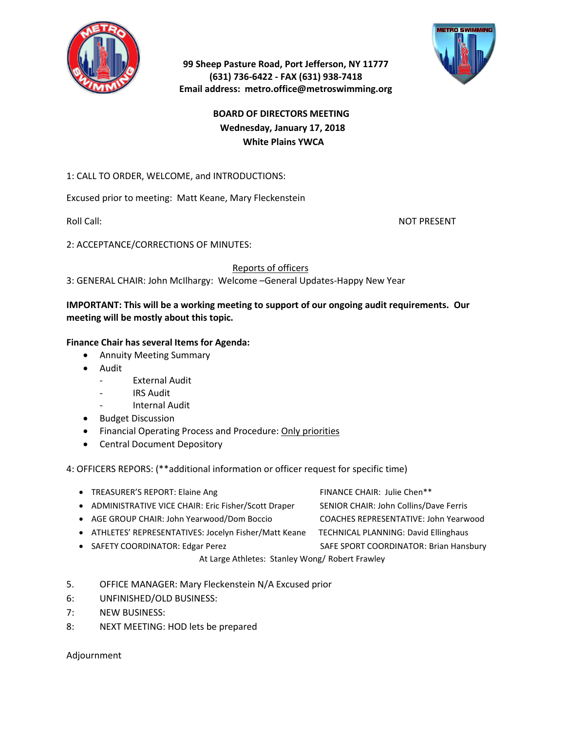



#### **99 Sheep Pasture Road, Port Jefferson, NY 11777 (631) 736-6422 - FAX (631) 938-7418 Email address: metro.office@metroswimming.org**

#### **BOARD OF DIRECTORS MEETING Wednesday, January 17, 2018 White Plains YWCA**

#### 1: CALL TO ORDER, WELCOME, and INTRODUCTIONS:

Excused prior to meeting: Matt Keane, Mary Fleckenstein

Roll Call: NOT PRESENT

2: ACCEPTANCE/CORRECTIONS OF MINUTES:

Reports of officers

3: GENERAL CHAIR: John McIlhargy: Welcome –General Updates-Happy New Year

#### **IMPORTANT: This will be a working meeting to support of our ongoing audit requirements. Our meeting will be mostly about this topic.**

#### **Finance Chair has several Items for Agenda:**

- Annuity Meeting Summary
- Audit
	- External Audit
	- IRS Audit
	- Internal Audit
- Budget Discussion
- Financial Operating Process and Procedure: Only priorities
- Central Document Depository

4: OFFICERS REPORS: (\*\*additional information or officer request for specific time)

- TREASURER'S REPORT: Elaine Ang FINANCE CHAIR: Julie Chen\*\* • ADMINISTRATIVE VICE CHAIR: Eric Fisher/Scott Draper SENIOR CHAIR: John Collins/Dave Ferris • AGE GROUP CHAIR: John Yearwood/Dom Boccio COACHES REPRESENTATIVE: John Yearwood
- ATHLETES' REPRESENTATIVES: Jocelyn Fisher/Matt Keane TECHNICAL PLANNING: David Ellinghaus
- 
- 
- SAFETY COORDINATOR: Edgar Perez SAFE SPORT COORDINATOR: Brian Hansbury

At Large Athletes: Stanley Wong/ Robert Frawley

- 5. OFFICE MANAGER: Mary Fleckenstein N/A Excused prior
- 6: UNFINISHED/OLD BUSINESS:
- 7: NEW BUSINESS:
- 8: NEXT MEETING: HOD lets be prepared

Adjournment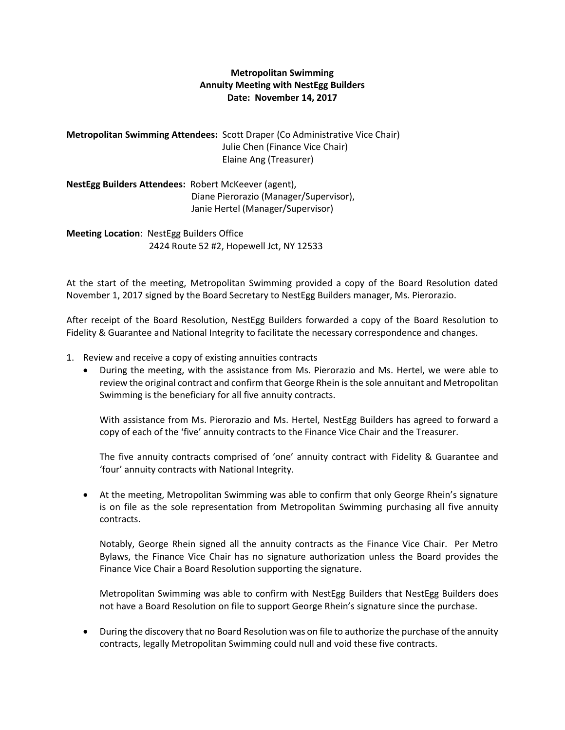#### **Metropolitan Swimming Annuity Meeting with NestEgg Builders Date: November 14, 2017**

**Metropolitan Swimming Attendees:** Scott Draper (Co Administrative Vice Chair) Julie Chen (Finance Vice Chair) Elaine Ang (Treasurer)

**NestEgg Builders Attendees:** Robert McKeever (agent), Diane Pierorazio (Manager/Supervisor), Janie Hertel (Manager/Supervisor)

**Meeting Location**: NestEgg Builders Office 2424 Route 52 #2, Hopewell Jct, NY 12533

At the start of the meeting, Metropolitan Swimming provided a copy of the Board Resolution dated November 1, 2017 signed by the Board Secretary to NestEgg Builders manager, Ms. Pierorazio.

After receipt of the Board Resolution, NestEgg Builders forwarded a copy of the Board Resolution to Fidelity & Guarantee and National Integrity to facilitate the necessary correspondence and changes.

- 1. Review and receive a copy of existing annuities contracts
	- During the meeting, with the assistance from Ms. Pierorazio and Ms. Hertel, we were able to review the original contract and confirm that George Rhein is the sole annuitant and Metropolitan Swimming is the beneficiary for all five annuity contracts.

With assistance from Ms. Pierorazio and Ms. Hertel, NestEgg Builders has agreed to forward a copy of each of the 'five' annuity contracts to the Finance Vice Chair and the Treasurer.

The five annuity contracts comprised of 'one' annuity contract with Fidelity & Guarantee and 'four' annuity contracts with National Integrity.

• At the meeting, Metropolitan Swimming was able to confirm that only George Rhein's signature is on file as the sole representation from Metropolitan Swimming purchasing all five annuity contracts.

Notably, George Rhein signed all the annuity contracts as the Finance Vice Chair. Per Metro Bylaws, the Finance Vice Chair has no signature authorization unless the Board provides the Finance Vice Chair a Board Resolution supporting the signature.

Metropolitan Swimming was able to confirm with NestEgg Builders that NestEgg Builders does not have a Board Resolution on file to support George Rhein's signature since the purchase.

• During the discovery that no Board Resolution was on file to authorize the purchase of the annuity contracts, legally Metropolitan Swimming could null and void these five contracts.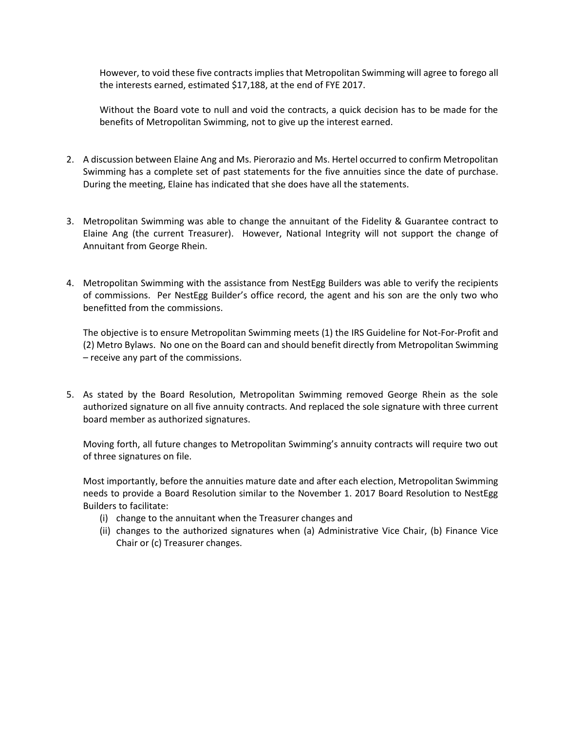However, to void these five contracts implies that Metropolitan Swimming will agree to forego all the interests earned, estimated \$17,188, at the end of FYE 2017.

Without the Board vote to null and void the contracts, a quick decision has to be made for the benefits of Metropolitan Swimming, not to give up the interest earned.

- 2. A discussion between Elaine Ang and Ms. Pierorazio and Ms. Hertel occurred to confirm Metropolitan Swimming has a complete set of past statements for the five annuities since the date of purchase. During the meeting, Elaine has indicated that she does have all the statements.
- 3. Metropolitan Swimming was able to change the annuitant of the Fidelity & Guarantee contract to Elaine Ang (the current Treasurer). However, National Integrity will not support the change of Annuitant from George Rhein.
- 4. Metropolitan Swimming with the assistance from NestEgg Builders was able to verify the recipients of commissions. Per NestEgg Builder's office record, the agent and his son are the only two who benefitted from the commissions.

The objective is to ensure Metropolitan Swimming meets (1) the IRS Guideline for Not-For-Profit and (2) Metro Bylaws. No one on the Board can and should benefit directly from Metropolitan Swimming – receive any part of the commissions.

5. As stated by the Board Resolution, Metropolitan Swimming removed George Rhein as the sole authorized signature on all five annuity contracts. And replaced the sole signature with three current board member as authorized signatures.

Moving forth, all future changes to Metropolitan Swimming's annuity contracts will require two out of three signatures on file.

Most importantly, before the annuities mature date and after each election, Metropolitan Swimming needs to provide a Board Resolution similar to the November 1. 2017 Board Resolution to NestEgg Builders to facilitate:

- (i) change to the annuitant when the Treasurer changes and
- (ii) changes to the authorized signatures when (a) Administrative Vice Chair, (b) Finance Vice Chair or (c) Treasurer changes.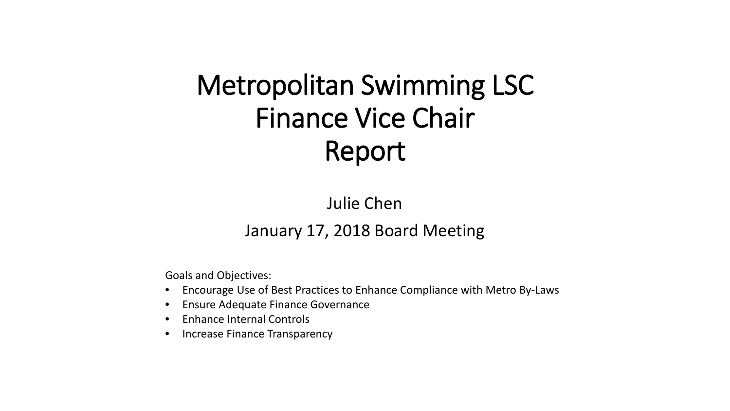# Metropolitan Swimming LSC Finance Vice Chair Report

Julie Chen

### January 17, 2018 Board Meeting

Goals and Objectives:

- Encourage Use of Best Practices to Enhance Compliance with Metro By-Laws
- Ensure Adequate Finance Governance
- Enhance Internal Controls
- Increase Finance Transparency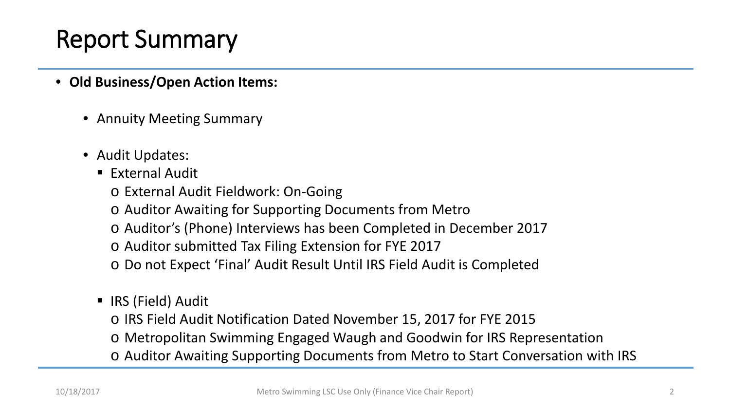- **Old Business/Open Action Items:**
	- Annuity Meeting Summary
	- Audit Updates:
		- $\blacksquare$  External Audit
			- o External Audit Fieldwork: On-Going
			- o Auditor Awaiting for Supporting Documents from Metro
			- o Auditor's (Phone) Interviews has been Completed in December 2017
			- o Auditor submitted Tax Filing Extension for FYE 2017
			- o Do not Expect 'Final' Audit Result Until IRS Field Audit is Completed
		- IRS (Field) Audit
			- o IRS Field Audit Notification Dated November 15, 2017 for FYE 2015
			- o Metropolitan Swimming Engaged Waugh and Goodwin for IRS Representation
			- o Auditor Awaiting Supporting Documents from Metro to Start Conversation with IRS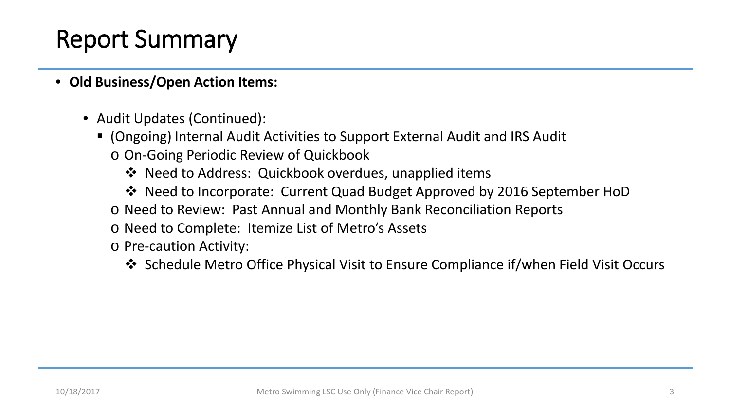- **Old Business/Open Action Items:**
	- Audit Updates (Continued):
		- (Ongoing) Internal Audit Activities to Support External Audit and IRS Audit o On-Going Periodic Review of Quickbook
			- $\lozenge$  Need to Address: Quickbook overdues, unapplied items
			- Need to Incorporate: Current Quad Budget Approved by 2016 September HoD
			- o Need to Review: Past Annual and Monthly Bank Reconciliation Reports
			- o Need to Complete: Itemize List of Metro's Assets

o Pre-caution Activity:

◆ Schedule Metro Office Physical Visit to Ensure Compliance if/when Field Visit Occurs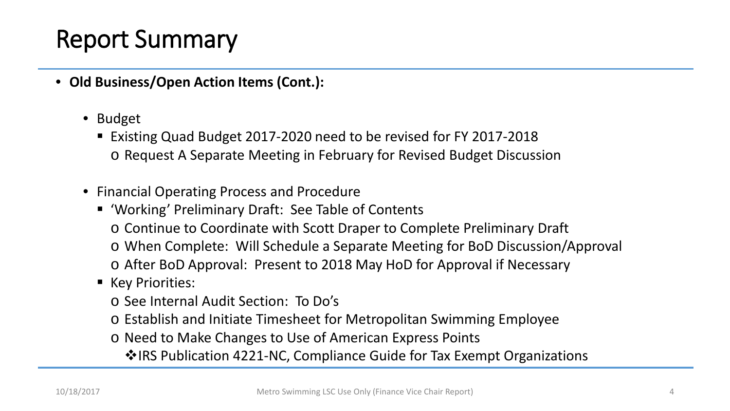- **Old Business/Open Action Items (Cont.):**
	- Budget
		- Existing Quad Budget 2017-2020 need to be revised for FY 2017-2018 o Request A Separate Meeting in February for Revised Budget Discussion
	- Financial Operating Process and Procedure
		- 'Working' Preliminary Draft: See Table of Contents o Continue to Coordinate with Scott Draper to Complete Preliminary Draft o When Complete: Will Schedule a Separate Meeting for BoD Discussion/Approval o After BoD Approval: Present to 2018 May HoD for Approval if Necessary
		- Key Priorities:
			- o See Internal Audit Section: To Do's
			- o Establish and Initiate Timesheet for Metropolitan Swimming Employee
			- o Need to Make Changes to Use of American Express Points
				- $\dots$ **IRS Publication 4221-NC, Compliance Guide for Tax Exempt Organizations**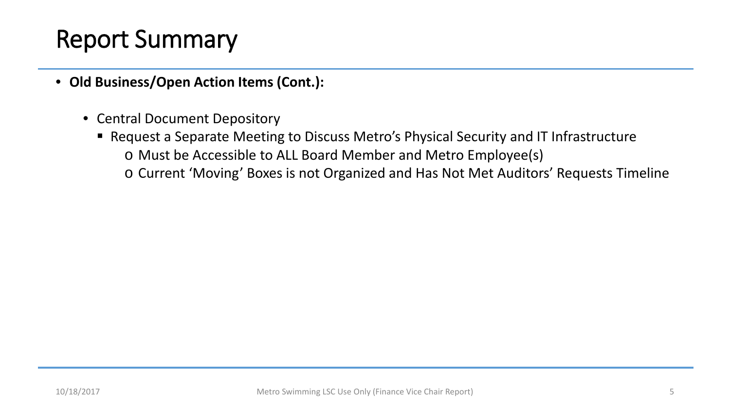- **Old Business/Open Action Items (Cont.):**
	- Central Document Depository
		- Request a Separate Meeting to Discuss Metro's Physical Security and IT Infrastructure o Must be Accessible to ALL Board Member and Metro Employee(s) o Current 'Moving' Boxes is not Organized and Has Not Met Auditors' Requests Timeline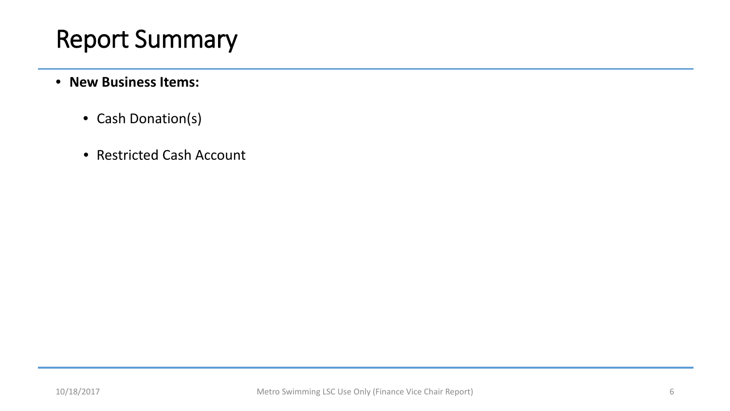- **New Business Items:**
	- Cash Donation(s)
	- Restricted Cash Account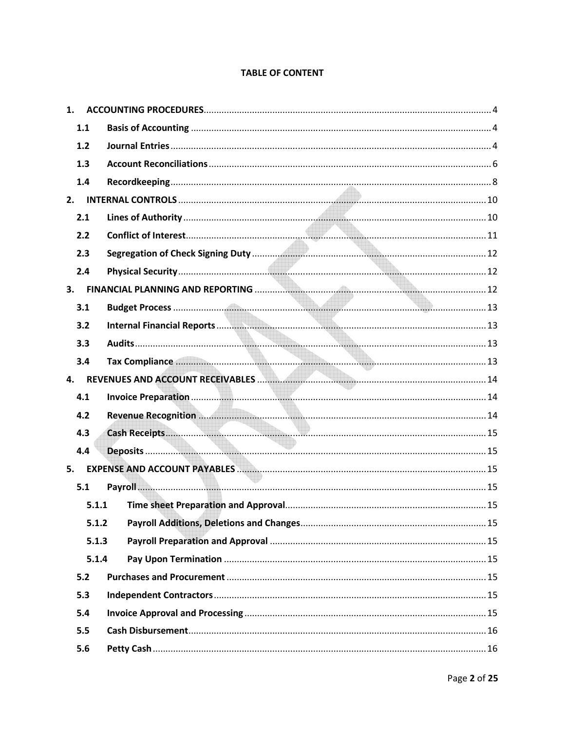#### **TABLE OF CONTENT**

| 1.1<br>$1.2$<br>1.3<br>1.4<br>2.1<br>2.2<br>2.3<br>2.4<br>3.<br>3.1<br>3.2<br>3.3<br>3.4<br>4.<br>4.1<br>4.2<br>4.3<br>4.4<br>5.<br>5.1<br>5.1.1<br>5.1.2<br>5.1.3<br>5.1.4<br>5.2<br>5.3 | 1. |  |
|-------------------------------------------------------------------------------------------------------------------------------------------------------------------------------------------|----|--|
|                                                                                                                                                                                           |    |  |
|                                                                                                                                                                                           |    |  |
|                                                                                                                                                                                           |    |  |
|                                                                                                                                                                                           |    |  |
|                                                                                                                                                                                           |    |  |
|                                                                                                                                                                                           |    |  |
|                                                                                                                                                                                           |    |  |
|                                                                                                                                                                                           |    |  |
|                                                                                                                                                                                           |    |  |
|                                                                                                                                                                                           |    |  |
|                                                                                                                                                                                           |    |  |
|                                                                                                                                                                                           |    |  |
|                                                                                                                                                                                           |    |  |
|                                                                                                                                                                                           |    |  |
|                                                                                                                                                                                           |    |  |
|                                                                                                                                                                                           |    |  |
|                                                                                                                                                                                           |    |  |
|                                                                                                                                                                                           |    |  |
|                                                                                                                                                                                           |    |  |
|                                                                                                                                                                                           |    |  |
|                                                                                                                                                                                           |    |  |
|                                                                                                                                                                                           |    |  |
|                                                                                                                                                                                           |    |  |
|                                                                                                                                                                                           |    |  |
|                                                                                                                                                                                           |    |  |
|                                                                                                                                                                                           |    |  |
|                                                                                                                                                                                           |    |  |
| 5.4                                                                                                                                                                                       |    |  |
| 5.5                                                                                                                                                                                       |    |  |
| 5.6                                                                                                                                                                                       |    |  |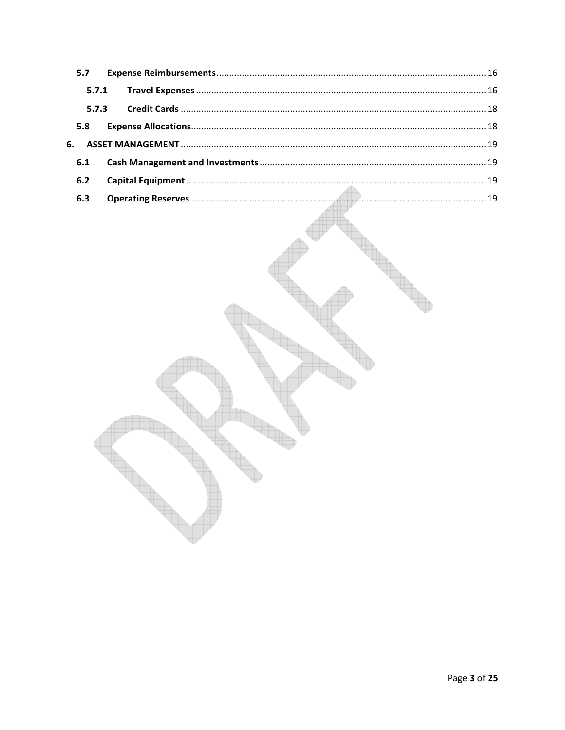| 5.7   |  |  |
|-------|--|--|
|       |  |  |
| 5.7.3 |  |  |
| 5.8   |  |  |
|       |  |  |
| 6.1   |  |  |
| 6.2   |  |  |
| 6.3   |  |  |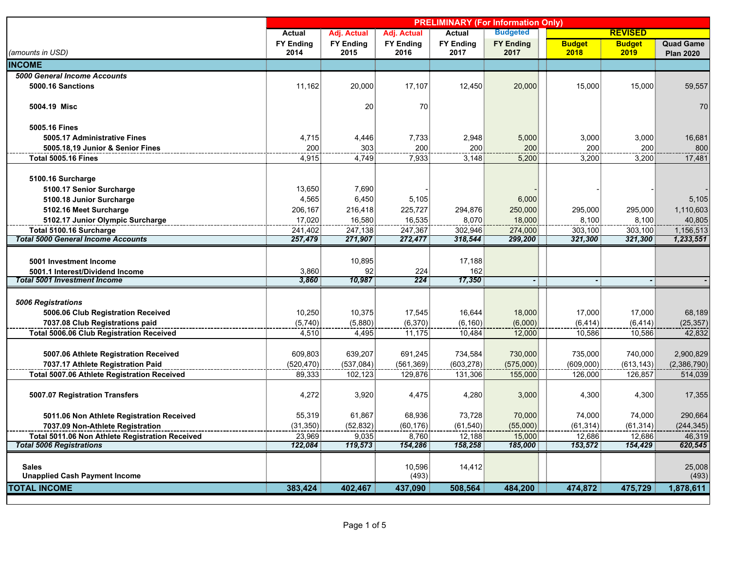|                                                      | <b>PRELIMINARY (For Information Only)</b> |                  |                  |                  |                  |               |                |                  |
|------------------------------------------------------|-------------------------------------------|------------------|------------------|------------------|------------------|---------------|----------------|------------------|
|                                                      | Actual                                    | Adj. Actual      | Adj. Actual      | <b>Actual</b>    | <b>Budgeted</b>  |               | <b>REVISED</b> |                  |
|                                                      | <b>FY Ending</b>                          | <b>FY Ending</b> | <b>FY Ending</b> | <b>FY Ending</b> | <b>FY Ending</b> | <b>Budget</b> | <b>Budget</b>  | <b>Quad Game</b> |
| (amounts in USD)                                     | 2014                                      | 2015             | 2016             | 2017             | 2017             | 2018          | 2019           | <b>Plan 2020</b> |
| <b>INCOME</b>                                        |                                           |                  |                  |                  |                  |               |                |                  |
| 5000 General Income Accounts                         |                                           |                  |                  |                  |                  |               |                |                  |
| 5000.16 Sanctions                                    | 11,162                                    | 20,000           | 17,107           | 12,450           | 20,000           | 15,000        | 15,000         | 59,557           |
| 5004.19 Misc                                         |                                           | 20               | 70               |                  |                  |               |                | 70               |
|                                                      |                                           |                  |                  |                  |                  |               |                |                  |
| 5005.16 Fines                                        |                                           |                  |                  |                  |                  |               |                |                  |
| 5005.17 Administrative Fines                         | 4,715                                     | 4,446            | 7,733            | 2,948            | 5,000            | 3,000         | 3,000          | 16,681           |
| 5005.18,19 Junior & Senior Fines                     | 200                                       | 303              | 200              | 200              | 200 <sub>5</sub> | 200           | 200            | 800              |
| <b>Total 5005.16 Fines</b>                           | 4,915                                     | 4,749            | 7,933            | 3,148            | 5,200            | 3,200         | 3,200          | 17,481           |
|                                                      |                                           |                  |                  |                  |                  |               |                |                  |
| 5100.16 Surcharge                                    |                                           |                  |                  |                  |                  |               |                |                  |
| 5100.17 Senior Surcharge                             | 13,650                                    | 7,690            |                  |                  |                  |               |                |                  |
| 5100.18 Junior Surcharge                             | 4,565                                     | 6,450            | 5,105            |                  | 6,000            |               |                | 5,105            |
| 5102.16 Meet Surcharge                               | 206,167                                   | 216,418          | 225,727          | 294,876          | 250,000          | 295,000       | 295,000        | 1,110,603        |
| 5102.17 Junior Olympic Surcharge                     | 17,020                                    | 16,580           | 16,535           | 8,070            | 18,000           | 8,100         | 8,100          | 40,805           |
| Total 5100.16 Surcharge                              | 241,402                                   | 247,138          | 247,367          | 302,946          | 274,000          | 303,100       | 303,100        | 1,156,513        |
| <b>Total 5000 General Income Accounts</b>            | 257,479                                   | 271,907          | 272,477          | 318,544          | 299,200          | 321,300       | 321,300        | 1,233,551        |
|                                                      |                                           |                  |                  |                  |                  |               |                |                  |
| 5001 Investment Income                               |                                           | 10,895           |                  | 17,188           |                  |               |                |                  |
| 5001.1 Interest/Dividend Income                      | 3,860                                     | 92               | 224              | 162              |                  |               |                |                  |
| <b>Total 5001 Investment Income</b>                  | 3,860                                     | 10,987           | 224              | 17,350           |                  |               |                |                  |
|                                                      |                                           |                  |                  |                  |                  |               |                |                  |
| <b>5006 Registrations</b>                            |                                           |                  |                  |                  |                  |               |                |                  |
| 5006.06 Club Registration Received                   | 10,250                                    | 10,375           | 17,545           | 16,644           | 18,000           | 17,000        | 17,000         | 68,189           |
| 7037.08 Club Registrations paid                      | (5,740)                                   | (5,880)          | (6,370)          | (6, 160)         | (6,000)          | (6, 414)      | (6, 414)       | (25, 357)        |
| <b>Total 5006.06 Club Registration Received</b>      | 4,510                                     | 4,495            | 11,175           | 10,484           | 12,000           | 10,586        | 10,586         | 42,832           |
|                                                      |                                           |                  |                  |                  |                  |               |                |                  |
| 5007.06 Athlete Registration Received                | 609,803                                   | 639,207          | 691,245          | 734,584          | 730,000          | 735,000       | 740,000        | 2,900,829        |
| 7037.17 Athlete Registration Paid                    | (520, 470)                                | (537,084)        | (561, 369)       | (603, 278)       | (575,000)        | (609,000)     | (613, 143)     | (2,386,790)      |
| <b>Total 5007.06 Athlete Registration Received</b>   | 89,333                                    | 102,123          | 129,876          | 131,306          | 155,000          | 126,000       | 126,857        | 514,039          |
|                                                      |                                           |                  |                  |                  |                  |               |                |                  |
| 5007.07 Registration Transfers                       | 4,272                                     | 3,920            | 4,475            | 4,280            | 3,000            | 4,300         | 4,300          | 17,355           |
|                                                      |                                           |                  |                  |                  |                  |               |                |                  |
| 5011.06 Non Athlete Registration Received            | 55,319                                    | 61,867           | 68,936           | 73,728           | 70,000           | 74,000        | 74,000         | 290,664          |
| 7037.09 Non-Athlete Registration                     | (31, 350)                                 | (52, 832)        | (60, 176)        | (61, 540)        | (55,000)         | (61, 314)     | (61, 314)      | (244, 345)       |
| Total 5011.06 Non Athlete Registration Received      | 23,969                                    | 9,035            | 8,760            | 12,188           | 15,000           | 12,686        | 12,686         | 46,319           |
| <b>Total 5006 Registrations</b>                      | 122,084                                   | 119,573          | 154,286          | 158,258          | 185,000          | 153,572       | 154,429        | 620,545          |
|                                                      |                                           |                  |                  |                  |                  |               |                |                  |
| <b>Sales</b><br><b>Unapplied Cash Payment Income</b> |                                           |                  | 10,596<br>(493)  | 14,412           |                  |               |                | 25,008<br>(493)  |
|                                                      |                                           |                  |                  |                  |                  |               |                |                  |
| <b>TOTAL INCOME</b>                                  | 383,424                                   | 402,467          | 437,090          | 508,564          | 484,200          | 474,872       | 475,729        | 1,878,611        |
|                                                      |                                           |                  |                  |                  |                  |               |                |                  |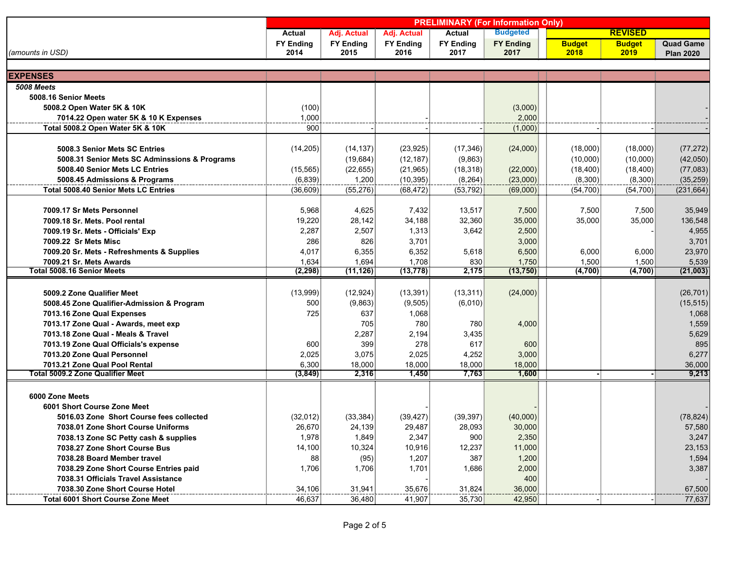|                                               | <b>PRELIMINARY (For Information Only)</b> |                  |                  |                  |                  |               |                |                  |
|-----------------------------------------------|-------------------------------------------|------------------|------------------|------------------|------------------|---------------|----------------|------------------|
|                                               | Actual                                    | Adj. Actual      | Adj. Actual      | Actual           | <b>Budgeted</b>  |               | <b>REVISED</b> |                  |
|                                               | <b>FY Ending</b>                          | <b>FY Ending</b> | <b>FY Ending</b> | <b>FY Ending</b> | <b>FY Ending</b> | <b>Budget</b> | <b>Budget</b>  | <b>Quad Game</b> |
| (amounts in USD)                              | 2014                                      | 2015             | 2016             | 2017             | 2017             | 2018          | 2019           | <b>Plan 2020</b> |
|                                               |                                           |                  |                  |                  |                  |               |                |                  |
| <b>EXPENSES</b>                               |                                           |                  |                  |                  |                  |               |                |                  |
| <b>5008 Meets</b>                             |                                           |                  |                  |                  |                  |               |                |                  |
| 5008.16 Senior Meets                          |                                           |                  |                  |                  |                  |               |                |                  |
| 5008.2 Open Water 5K & 10K                    | (100)                                     |                  |                  |                  | (3,000)          |               |                |                  |
| 7014.22 Open water 5K & 10 K Expenses         | 1,000                                     |                  |                  |                  | 2.000            |               |                |                  |
| Total 5008.2 Open Water 5K & 10K              | 900                                       |                  |                  |                  | (1,000)          |               |                |                  |
|                                               |                                           |                  |                  |                  |                  |               |                |                  |
| 5008.3 Senior Mets SC Entries                 | (14, 205)                                 | (14, 137)        | (23, 925)        | (17, 346)        | (24,000)         | (18,000)      | (18,000)       | (77, 272)        |
| 5008.31 Senior Mets SC Adminssions & Programs |                                           | (19, 684)        | (12, 187)        | (9,863)          |                  | (10,000)      | (10,000)       | (42,050)         |
| 5008.40 Senior Mets LC Entries                | (15, 565)                                 | (22, 655)        | (21, 965)        | (18, 318)        | (22,000)         | (18, 400)     | (18, 400)      | (77,083)         |
| 5008.45 Admissions & Programs                 | (6, 839)                                  | 1,200            | (10, 395)        | (8, 264)         | (23,000)         | (8,300)       | (8,300)        | (35, 259)        |
| <b>Total 5008.40 Senior Mets LC Entries</b>   | (36, 609)                                 | (55, 276)        | (68, 472)        | (53, 792)        | (69,000)         | (54, 700)     | (54, 700)      | (231, 664)       |
| 7009.17 Sr Mets Personnel                     | 5,968                                     | 4,625            | 7,432            | 13,517           | 7,500            | 7,500         | 7,500          | 35,949           |
| 7009.18 Sr. Mets. Pool rental                 | 19,220                                    | 28,142           | 34,188           | 32,360           | 35,000           | 35,000        | 35,000         | 136,548          |
| 7009.19 Sr. Mets - Officials' Exp             | 2,287                                     | 2,507            | 1,313            | 3,642            | 2,500            |               |                | 4,955            |
| 7009.22 Sr Mets Misc                          | 286                                       | 826              | 3,701            |                  | 3,000            |               |                | 3,701            |
| 7009.20 Sr. Mets - Refreshments & Supplies    | 4,017                                     | 6,355            | 6,352            | 5,618            | 6,500            | 6,000         | 6,000          | 23,970           |
| 7009.21 Sr. Mets Awards                       | 1,634                                     | 1,694            | 1,708            | 830              | 1,750            | 1,500         | 1,500          | 5,539            |
| <b>Total 5008.16 Senior Meets</b>             | (2, 298)                                  | (11, 126)        | (13, 778)        | 2,175            | (13,750)         | (4,700)       | (4,700)        | (21,003)         |
|                                               |                                           |                  |                  |                  |                  |               |                |                  |
| 5009.2 Zone Qualifier Meet                    | (13,999)                                  | (12, 924)        | (13,391)         | (13, 311)        | (24,000)         |               |                | (26, 701)        |
| 5008.45 Zone Qualifier-Admission & Program    | 500                                       | (9,863)          | (9,505)          | (6,010)          |                  |               |                | (15, 515)        |
| 7013.16 Zone Qual Expenses                    | 725                                       | 637              | 1,068            |                  |                  |               |                | 1,068            |
| 7013.17 Zone Qual - Awards, meet exp          |                                           | 705              | 780              | 780              | 4,000            |               |                | 1,559            |
| 7013.18 Zone Qual - Meals & Travel            |                                           | 2,287            | 2,194            | 3,435            |                  |               |                | 5,629            |
| 7013.19 Zone Qual Officials's expense         | 600                                       | 399              | 278              | 617              | $600\frac{1}{2}$ |               |                | 895              |
| 7013.20 Zone Qual Personnel                   | 2,025                                     | 3,075            | 2,025            | 4,252            | 3,000            |               |                | 6,277            |
| 7013.21 Zone Qual Pool Rental                 | 6,300                                     | 18,000           | 18,000           | 18,000           | 18,000           |               |                | 36,000           |
| Total 5009.2 Zone Qualifier Meet              | (3, 849)                                  | 2,316            | 1,450            | 7,763            | 1,600            |               |                | 9,213            |
|                                               |                                           |                  |                  |                  |                  |               |                |                  |
| 6000 Zone Meets                               |                                           |                  |                  |                  |                  |               |                |                  |
| 6001 Short Course Zone Meet                   |                                           |                  |                  |                  |                  |               |                |                  |
| 5016.03 Zone Short Course fees collected      | (32,012)                                  | (33, 384)        | (39, 427)        | (39, 397)        | (40,000)         |               |                | (78, 824)        |
| 7038.01 Zone Short Course Uniforms            | 26,670                                    | 24,139           | 29,487           | 28,093           | 30,000           |               |                | 57,580           |
| 7038.13 Zone SC Petty cash & supplies         | 1,978                                     | 1,849            | 2,347            | 900              | 2,350            |               |                | 3,247            |
| 7038.27 Zone Short Course Bus                 | 14,100                                    | 10,324           | 10,916           | 12,237           | 11,000           |               |                | 23,153           |
| 7038.28 Board Member travel                   | 88                                        | (95)             | 1,207            | 387              | 1,200            |               |                | 1,594            |
| 7038.29 Zone Short Course Entries paid        | 1,706                                     | 1,706            | 1,701            | 1,686            | 2,000            |               |                | 3,387            |
| 7038.31 Officials Travel Assistance           |                                           |                  |                  |                  | 400              |               |                |                  |
| 7038.30 Zone Short Course Hotel               | 34,106                                    | 31,941           | 35,676           | 31,824           | 36,000           |               |                | 67,500           |
| <b>Total 6001 Short Course Zone Meet</b>      | 46,637                                    | 36,480           | 41,907           | 35,730           | 42,950           |               |                | 77,637           |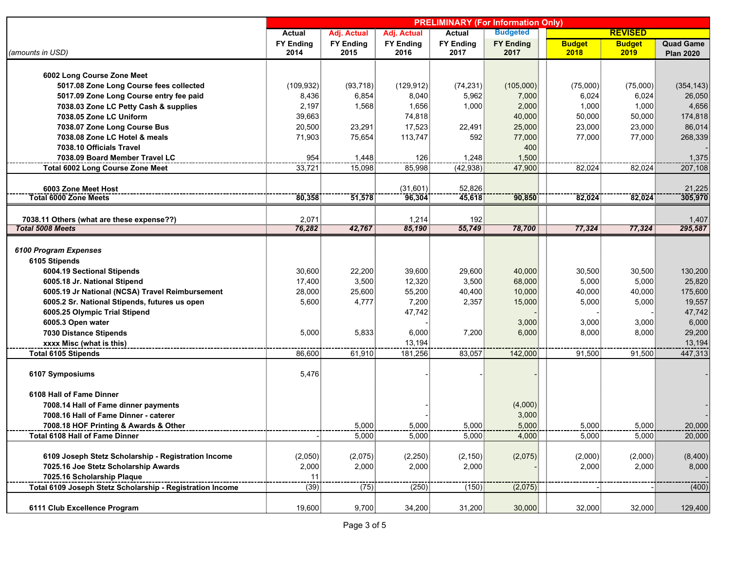|                                                                      | <b>PRELIMINARY (For Information Only)</b> |                  |                  |                  |                  |               |                |                  |
|----------------------------------------------------------------------|-------------------------------------------|------------------|------------------|------------------|------------------|---------------|----------------|------------------|
|                                                                      | Actual                                    | Adj. Actual      | Adj. Actual      | <b>Actual</b>    | <b>Budgeted</b>  |               | <b>REVISED</b> |                  |
|                                                                      | <b>FY Ending</b>                          | <b>FY Ending</b> | <b>FY Ending</b> | <b>FY Ending</b> | <b>FY Ending</b> | <b>Budget</b> | <b>Budget</b>  | <b>Quad Game</b> |
| (amounts in USD)                                                     | 2014                                      | 2015             | 2016             | 2017             | 2017             | 2018          | 2019           | <b>Plan 2020</b> |
|                                                                      |                                           |                  |                  |                  |                  |               |                |                  |
| 6002 Long Course Zone Meet                                           |                                           |                  |                  |                  |                  |               |                |                  |
| 5017.08 Zone Long Course fees collected                              | (109, 932)                                | (93,718)         | (129, 912)       | (74, 231)        | (105,000)        | (75,000)      | (75,000)       | (354, 143)       |
| 5017.09 Zone Long Course entry fee paid                              | 8,436                                     | 6,854            | 8,040            | 5,962            | 7,000            | 6,024         | 6,024          | 26,050           |
| 7038.03 Zone LC Petty Cash & supplies                                | 2,197                                     | 1,568            | 1,656            | 1,000            | 2,000            | 1,000         | 1,000          | 4,656            |
| 7038.05 Zone LC Uniform                                              | 39,663                                    |                  | 74,818           |                  | 40,000           | 50,000        | 50,000         | 174,818          |
| 7038.07 Zone Long Course Bus                                         | 20,500                                    | 23,291           | 17,523           | 22,491           | 25,000           | 23,000        | 23,000         | 86,014           |
| 7038.08 Zone LC Hotel & meals                                        | 71,903                                    | 75,654           | 113,747          | 592              | 77,000           | 77,000        | 77,000         | 268,339          |
| 7038.10 Officials Travel                                             |                                           |                  |                  |                  | 400              |               |                |                  |
| 7038.09 Board Member Travel LC                                       | 954                                       | 1,448            | 126              | 1,248            | 1,500            |               |                | 1,375            |
| <b>Total 6002 Long Course Zone Meet</b>                              | 33,721                                    | 15,098           | 85,998           | (42, 938)        | 47,900           | 82,024        | 82,024         | 207,108          |
|                                                                      |                                           |                  |                  |                  |                  |               |                |                  |
| 6003 Zone Meet Host<br><b>Total 6000 Zone Meets</b>                  | 80,358                                    |                  | (31,601)         | 52,826           |                  |               |                | 21,225           |
|                                                                      |                                           | 51,578           | 96,304           | 45,618           | 90,850           | 82,024        | 82,024         | 305,970          |
|                                                                      |                                           |                  |                  |                  |                  |               |                |                  |
| 7038.11 Others (what are these expense??)<br><b>Total 5008 Meets</b> | 2,071<br>76,282                           | 42,767           | 1,214<br>85,190  | 192<br>55,749    | 78,700           | 77,324        | 77,324         | 1,407<br>295,587 |
|                                                                      |                                           |                  |                  |                  |                  |               |                |                  |
| 6100 Program Expenses                                                |                                           |                  |                  |                  |                  |               |                |                  |
| 6105 Stipends                                                        |                                           |                  |                  |                  |                  |               |                |                  |
| 6004.19 Sectional Stipends                                           | 30,600                                    | 22,200           | 39,600           | 29,600           | 40,000           | 30,500        | 30,500         | 130,200          |
| 6005.18 Jr. National Stipend                                         | 17,400                                    | 3,500            | 12,320           | 3,500            | 68,000           | 5,000         | 5,000          | 25,820           |
|                                                                      |                                           |                  |                  |                  |                  |               |                | 175,600          |
| 6005.19 Jr National (NCSA) Travel Reimbursement                      | 28,000                                    | 25,600           | 55,200           | 40,400           | 10,000           | 40,000        | 40,000         |                  |
| 6005.2 Sr. National Stipends, futures us open                        | 5,600                                     | 4,777            | 7,200            | 2,357            | 15,000           | 5,000         | 5,000          | 19,557           |
| 6005.25 Olympic Trial Stipend                                        |                                           |                  | 47,742           |                  |                  |               |                | 47,742           |
| 6005.3 Open water                                                    |                                           |                  |                  |                  | 3,000            | 3,000         | 3,000          | 6,000            |
| 7030 Distance Stipends                                               | 5,000                                     | 5,833            | 6,000            | 7,200            | 6,000            | 8,000         | 8,000          | 29,200           |
| xxxx Misc (what is this)                                             |                                           |                  | 13,194           |                  |                  |               |                | 13,194           |
| <b>Total 6105 Stipends</b>                                           | 86,600                                    | 61,910           | 181,256          | 83,057           | 142,000          | 91,500        | 91,500         | 447,313          |
| 6107 Symposiums                                                      | 5,476                                     |                  |                  |                  |                  |               |                |                  |
|                                                                      |                                           |                  |                  |                  |                  |               |                |                  |
| 6108 Hall of Fame Dinner                                             |                                           |                  |                  |                  |                  |               |                |                  |
| 7008.14 Hall of Fame dinner payments                                 |                                           |                  |                  |                  | (4,000)          |               |                |                  |
| 7008.16 Hall of Fame Dinner - caterer                                |                                           |                  |                  |                  | 3,000            |               |                |                  |
| 7008.18 HOF Printing & Awards & Other                                |                                           | 5,000            | 5,000            | 5,000            | 5,000            | 5,000         | 5,000          | 20,000           |
| Total 6108 Hall of Fame Dinner                                       |                                           | 5,000            | 5,000            | 5,000            | 4,000            | 5,000         | 5,000          | 20,000           |
|                                                                      |                                           |                  |                  |                  |                  |               |                |                  |
| 6109 Joseph Stetz Scholarship - Registration Income                  | (2,050)                                   | (2,075)          | (2,250)          | (2, 150)         | (2,075)          | (2,000)       | (2,000)        | (8,400)          |
| 7025.16 Joe Stetz Scholarship Awards                                 | 2,000                                     | 2,000            | 2,000            | 2,000            |                  | 2,000         | 2,000          | 8,000            |
| 7025.16 Scholarship Plaque                                           | 11                                        |                  |                  |                  |                  |               |                |                  |
| Total 6109 Joseph Stetz Scholarship - Registration Income            | (39)                                      | (75)             | (250)            | (150)            | (2,075)          |               |                | (400)            |
|                                                                      |                                           |                  |                  |                  |                  |               |                |                  |
| 6111 Club Excellence Program                                         | 19,600                                    | 9,700            | 34,200           | 31,200           | 30,000           | 32,000        | 32,000         | 129,400          |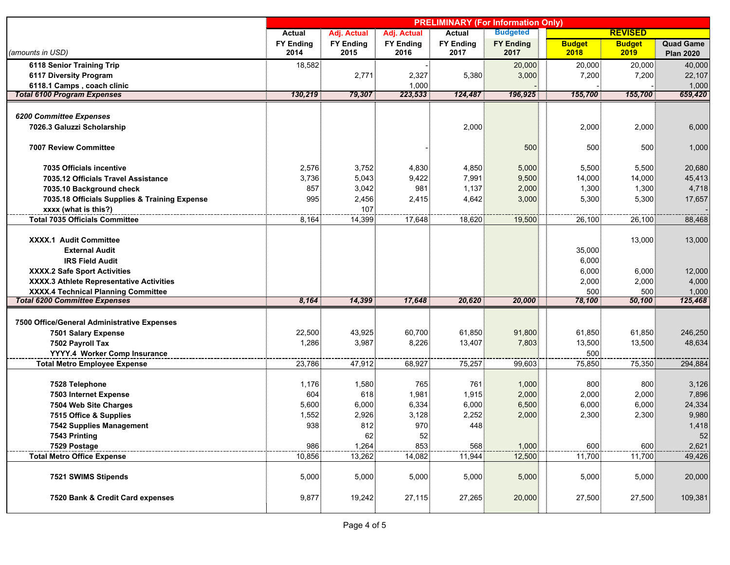|                                               | <b>PRELIMINARY (For Information Only)</b> |                  |                  |                  |                  |               |                |                  |
|-----------------------------------------------|-------------------------------------------|------------------|------------------|------------------|------------------|---------------|----------------|------------------|
|                                               | <b>Actual</b>                             | Adj. Actual      | Adj. Actual      | Actual           | <b>Budgeted</b>  |               | <b>REVISED</b> |                  |
|                                               | <b>FY Ending</b>                          | <b>FY Ending</b> | <b>FY Ending</b> | <b>FY Ending</b> | <b>FY Ending</b> | <b>Budget</b> | <b>Budget</b>  | <b>Quad Game</b> |
| (amounts in USD)                              | 2014                                      | 2015             | 2016             | 2017             | 2017             | 2018          | 2019           | <b>Plan 2020</b> |
| 6118 Senior Training Trip                     | 18,582                                    |                  |                  |                  | 20,000           | 20,000        | 20,000         | 40,000           |
| <b>6117 Diversity Program</b>                 |                                           | 2,771            | 2,327            | 5,380            | 3,000            | 7,200         | 7,200          | 22,107           |
| 6118.1 Camps, coach clinic                    | 130,219                                   | 79,307           | 1,000<br>223,533 | 124,487          | 196,925          | 155,700       | 155,700        | 1,000<br>659,420 |
| <b>Total 6100 Program Expenses</b>            |                                           |                  |                  |                  |                  |               |                |                  |
|                                               |                                           |                  |                  |                  |                  |               |                |                  |
| 6200 Committee Expenses                       |                                           |                  |                  |                  |                  |               |                |                  |
| 7026.3 Galuzzi Scholarship                    |                                           |                  |                  | 2,000            |                  | 2,000         | 2,000          | 6,000            |
| 7007 Review Committee                         |                                           |                  |                  |                  | 500              | 500           | 500            | 1,000            |
|                                               |                                           |                  |                  |                  |                  |               |                |                  |
| 7035 Officials incentive                      | 2,576                                     | 3,752            | 4,830            | 4,850            | 5,000            | 5,500         | 5,500          | 20,680           |
| 7035.12 Officials Travel Assistance           | 3,736                                     | 5.043            | 9,422            | 7,991            | 9,500            | 14,000        | 14,000         | 45,413           |
| 7035.10 Background check                      | 857                                       | 3,042            | 981              | 1,137            | 2,000            | 1,300         | 1,300          | 4,718            |
| 7035.18 Officials Supplies & Training Expense | 995                                       | 2,456            | 2,415            | 4,642            | 3,000            | 5,300         | 5,300          | 17,657           |
| xxxx (what is this?)                          |                                           | 107              |                  |                  |                  |               |                |                  |
| <b>Total 7035 Officials Committee</b>         | 8,164                                     | 14,399           | 17,648           | 18,620           | 19,500           | 26,100        | 26,100         | 88,468           |
|                                               |                                           |                  |                  |                  |                  |               |                |                  |
| XXXX.1 Audit Committee                        |                                           |                  |                  |                  |                  |               | 13,000         | 13,000           |
| <b>External Audit</b>                         |                                           |                  |                  |                  |                  | 35,000        |                |                  |
| <b>IRS Field Audit</b>                        |                                           |                  |                  |                  |                  | 6,000         |                |                  |
| XXXX.2 Safe Sport Activities                  |                                           |                  |                  |                  |                  | 6,000         | 6,000          | 12,000           |
| XXXX.3 Athlete Representative Activities      |                                           |                  |                  |                  |                  | 2,000         | 2,000          | 4,000            |
| <b>XXXX.4 Technical Planning Committee</b>    |                                           |                  |                  |                  |                  | 500           | 500            | 1,000            |
| <b>Total 6200 Committee Expenses</b>          | 8,164                                     | 14,399           | 17,648           | 20,620           | 20,000           | 78,100        | 50,100         | 125,468          |
|                                               |                                           |                  |                  |                  |                  |               |                |                  |
| 7500 Office/General Administrative Expenses   |                                           |                  |                  |                  |                  |               |                |                  |
| 7501 Salary Expense                           | 22,500                                    | 43,925           | 60,700           | 61,850           | 91,800           | 61,850        | 61,850         | 246,250          |
| 7502 Payroll Tax                              | 1,286                                     | 3,987            | 8,226            | 13,407           | 7,803            | 13,500        | 13,500         | 48,634           |
| YYYY.4 Worker Comp Insurance                  |                                           |                  |                  |                  |                  | 500           |                |                  |
| <b>Total Metro Employee Expense</b>           | 23,786                                    | 47,912           | 68,927           | 75,257           | 99,603           | 75,850        | 75,350         | 294,884          |
|                                               | 1,176                                     | 1,580            | 765              | 761              | 1,000            | 800           | 800            |                  |
| 7528 Telephone<br>7503 Internet Expense       | 604                                       | 618              | 1,981            | 1,915            | 2,000            | 2,000         | 2,000          | 3,126<br>7,896   |
| 7504 Web Site Charges                         | 5,600                                     | 6,000            | 6,334            | 6,000            | 6,500            | 6,000         | 6,000          | 24,334           |
| 7515 Office & Supplies                        | 1,552                                     | 2,926            | 3,128            | 2,252            | 2,000            | 2,300         | 2,300          | 9,980            |
| 7542 Supplies Management                      | 938                                       | 812              | 970              | 448              |                  |               |                | 1,418            |
| 7543 Printing                                 |                                           | 62               | 52               |                  |                  |               |                | 52               |
| 7529 Postage                                  | 986                                       | 1,264            | 853              | 568              | 1,000            | 600           | 600            | 2,621            |
| <b>Total Metro Office Expense</b>             | 10,856                                    | 13,262           | 14,082           | 11,944           | 12,500           | 11,700        | 11,700         | 49,426           |
|                                               |                                           |                  |                  |                  |                  |               |                |                  |
| 7521 SWIMS Stipends                           | 5,000                                     | 5,000            | 5,000            | 5,000            | 5,000            | 5,000         | 5,000          | 20,000           |
|                                               |                                           |                  |                  |                  |                  |               |                |                  |
| 7520 Bank & Credit Card expenses              | 9,877                                     | 19,242           | 27,115           | 27,265           | 20,000           | 27,500        | 27,500         | 109,381          |
|                                               |                                           |                  |                  |                  |                  |               |                |                  |
|                                               |                                           |                  |                  |                  |                  |               |                |                  |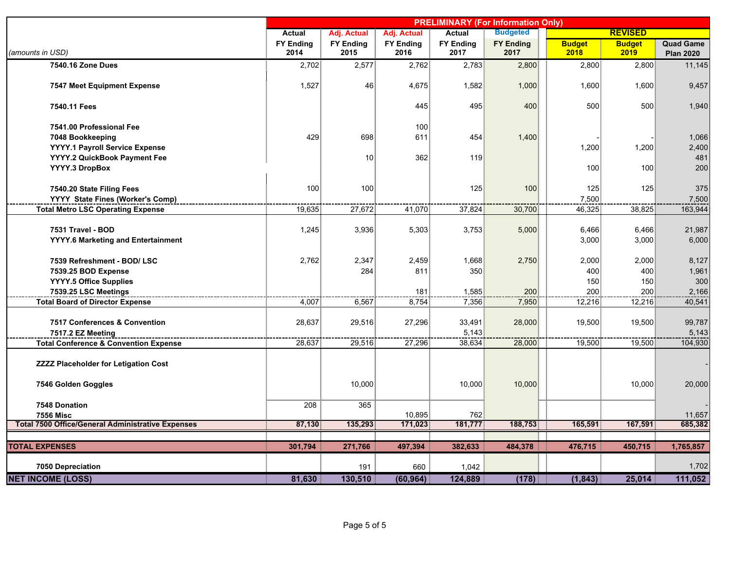|                                                          | <b>PRELIMINARY (For Information Only)</b> |                  |                  |                  |                  |               |                |                  |
|----------------------------------------------------------|-------------------------------------------|------------------|------------------|------------------|------------------|---------------|----------------|------------------|
|                                                          | Actual                                    | Adj. Actual      | Adj. Actual      | Actual           | <b>Budgeted</b>  |               | <b>REVISED</b> |                  |
|                                                          | <b>FY Ending</b>                          | <b>FY Ending</b> | <b>FY Ending</b> | <b>FY Ending</b> | <b>FY Ending</b> | <b>Budget</b> | <b>Budget</b>  | <b>Quad Game</b> |
| (amounts in USD)                                         | 2014                                      | 2015             | 2016             | 2017             | 2017             | 2018          | 2019           | <b>Plan 2020</b> |
| 7540.16 Zone Dues                                        | 2,702                                     | 2,577            | 2,762            | 2,783            | 2,800            | 2,800         | 2,800          | 11,145           |
| <b>7547 Meet Equipment Expense</b>                       | 1,527                                     | 46               | 4,675            | 1,582            | 1,000            | 1,600         | 1,600          | 9,457            |
| 7540.11 Fees                                             |                                           |                  | 445              | 495              | 400              | 500           | 500            | 1,940            |
| 7541.00 Professional Fee                                 |                                           |                  | 100 <sup>1</sup> |                  |                  |               |                |                  |
| 7048 Bookkeeping                                         | 429                                       | 698              | 611              | 454              | 1,400            |               |                | 1,066            |
| YYYY.1 Payroll Service Expense                           |                                           |                  |                  |                  |                  | 1,200         | 1,200          | 2,400            |
| YYYY.2 QuickBook Payment Fee                             |                                           | 10               | 362              | 119              |                  |               |                | 481              |
| YYYY.3 DropBox                                           |                                           |                  |                  |                  |                  | 100           | 100            | 200              |
| 7540.20 State Filing Fees                                | 100                                       | 100              |                  | 125              | 100              | 125           | 125            | 375              |
| YYYY State Fines (Worker's Comp)                         |                                           |                  |                  |                  |                  | 7,500         |                | 7,500            |
| <b>Total Metro LSC Operating Expense</b>                 | 19,635                                    | 27,672           | 41,070           | 37,824           | 30,700           | 46,325        | 38,825         | 163,944          |
| 7531 Travel - BOD                                        | 1,245                                     | 3,936            | 5,303            | 3,753            | 5,000            | 6,466         | 6,466          | 21,987           |
| YYYY.6 Marketing and Entertainment                       |                                           |                  |                  |                  |                  | 3,000         | 3,000          | 6,000            |
| 7539 Refreshment - BOD/ LSC                              | 2,762                                     | 2,347            | 2,459            | 1,668            | 2,750            | 2,000         | 2,000          | 8,127            |
| 7539.25 BOD Expense                                      |                                           | 284              | 811              | 350              |                  | 400           | 400            | 1,961            |
| YYYY.5 Office Supplies                                   |                                           |                  |                  |                  |                  | 150           | 150            | 300              |
| 7539.25 LSC Meetings                                     |                                           |                  | 181              | 1,585            | 200              | 200           | 200            | 2,166            |
| <b>Total Board of Director Expense</b>                   | 4,007                                     | 6,567            | 8,754            | 7,356            | 7,950            | 12,216        | 12,216         | 40,541           |
| 7517 Conferences & Convention                            | 28,637                                    | 29,516           | 27,296           | 33,491           | 28,000           | 19,500        | 19,500         | 99,787           |
| 7517.2 EZ Meeting                                        |                                           |                  |                  | 5,143            |                  |               |                | 5,143            |
| <b>Total Conference &amp; Convention Expense</b>         | 28,637                                    | 29,516           | 27,296           | 38,634           | 28,000           | 19,500        | 19,500         | 104,930          |
| <b>ZZZZ Placeholder for Letigation Cost</b>              |                                           |                  |                  |                  |                  |               |                |                  |
| 7546 Golden Goggles                                      |                                           | 10,000           |                  | 10,000           | 10,000           |               | 10,000         | 20,000           |
| 7548 Donation                                            | 208                                       | 365              |                  |                  |                  |               |                |                  |
| <b>7556 Misc</b>                                         |                                           |                  | 10,895           | 762              |                  |               |                | 11,657           |
| <b>Total 7500 Office/General Administrative Expenses</b> | 87,130                                    | 135,293          | 171,023          | 181,777          | 188,753          | 165,591       | 167,591        | 685,382          |
|                                                          |                                           |                  |                  |                  |                  |               |                |                  |
| <b>TOTAL EXPENSES</b>                                    | 301,794                                   | 271,766          | 497,394          | 382,633          | 484,378          | 476,715       | 450,715        | 1,765,857        |
| 7050 Depreciation                                        |                                           | 191              | 660              | 1,042            |                  |               |                | 1,702            |
| <b>NET INCOME (LOSS)</b>                                 | 81,630                                    | 130,510          | (60, 964)        | 124,889          | (178)            | (1, 843)      | 25,014         | 111,052          |